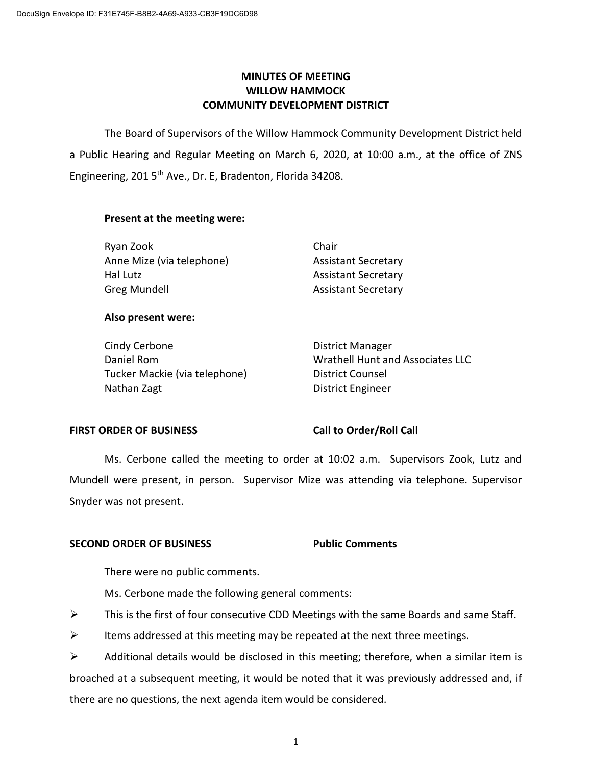# **MINUTES OF MEETING WILLOW HAMMOCK COMMUNITY DEVELOPMENT DISTRICT**

The Board of Supervisors of the Willow Hammock Community Development District held a Public Hearing and Regular Meeting on March 6, 2020, at 10:00 a.m., at the office of ZNS Engineering, 201 5<sup>th</sup> Ave., Dr. E, Bradenton, Florida 34208.

### **Present at the meeting were:**

| Ryan Zook                 | Chair                      |
|---------------------------|----------------------------|
| Anne Mize (via telephone) | <b>Assistant Secretary</b> |
| Hal Lutz                  | <b>Assistant Secretary</b> |
| Greg Mundell              | <b>Assistant Secretary</b> |

### **Also present were:**

Cindy Cerbone **District Manager** Tucker Mackie (via telephone) District Counsel Nathan Zagt District Engineer

Daniel Rom Wrathell Hunt and Associates LLC

# **FIRST ORDER OF BUSINESS Call to Order/Roll Call**

Ms. Cerbone called the meeting to order at 10:02 a.m. Supervisors Zook, Lutz and Mundell were present, in person. Supervisor Mize was attending via telephone. Supervisor Snyder was not present.

# **SECOND ORDER OF BUSINESS Public Comments**

There were no public comments.

Ms. Cerbone made the following general comments:

- $\triangleright$  This is the first of four consecutive CDD Meetings with the same Boards and same Staff.
- $\triangleright$  Items addressed at this meeting may be repeated at the next three meetings.

 $\triangleright$  Additional details would be disclosed in this meeting; therefore, when a similar item is broached at a subsequent meeting, it would be noted that it was previously addressed and, if there are no questions, the next agenda item would be considered.

1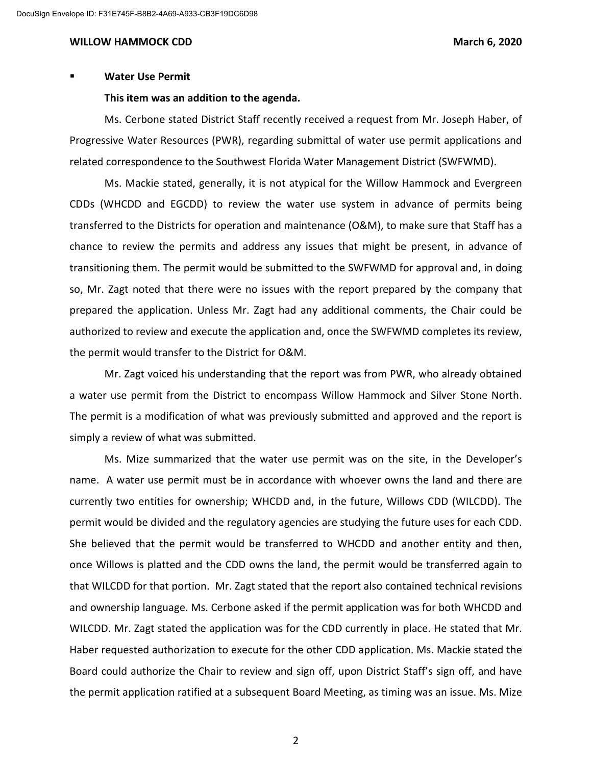#### **Water Use Permit**

#### **This item was an addition to the agenda.**

Ms. Cerbone stated District Staff recently received a request from Mr. Joseph Haber, of Progressive Water Resources (PWR), regarding submittal of water use permit applications and related correspondence to the Southwest Florida Water Management District (SWFWMD).

Ms. Mackie stated, generally, it is not atypical for the Willow Hammock and Evergreen CDDs (WHCDD and EGCDD) to review the water use system in advance of permits being transferred to the Districts for operation and maintenance (O&M), to make sure that Staff has a chance to review the permits and address any issues that might be present, in advance of transitioning them. The permit would be submitted to the SWFWMD for approval and, in doing so, Mr. Zagt noted that there were no issues with the report prepared by the company that prepared the application. Unless Mr. Zagt had any additional comments, the Chair could be authorized to review and execute the application and, once the SWFWMD completes its review, the permit would transfer to the District for O&M.

Mr. Zagt voiced his understanding that the report was from PWR, who already obtained a water use permit from the District to encompass Willow Hammock and Silver Stone North. The permit is a modification of what was previously submitted and approved and the report is simply a review of what was submitted.

Ms. Mize summarized that the water use permit was on the site, in the Developer's name. A water use permit must be in accordance with whoever owns the land and there are currently two entities for ownership; WHCDD and, in the future, Willows CDD (WILCDD). The permit would be divided and the regulatory agencies are studying the future uses for each CDD. She believed that the permit would be transferred to WHCDD and another entity and then, once Willows is platted and the CDD owns the land, the permit would be transferred again to that WILCDD for that portion. Mr. Zagt stated that the report also contained technical revisions and ownership language. Ms. Cerbone asked if the permit application was for both WHCDD and WILCDD. Mr. Zagt stated the application was for the CDD currently in place. He stated that Mr. Haber requested authorization to execute for the other CDD application. Ms. Mackie stated the Board could authorize the Chair to review and sign off, upon District Staff's sign off, and have the permit application ratified at a subsequent Board Meeting, as timing was an issue. Ms. Mize

2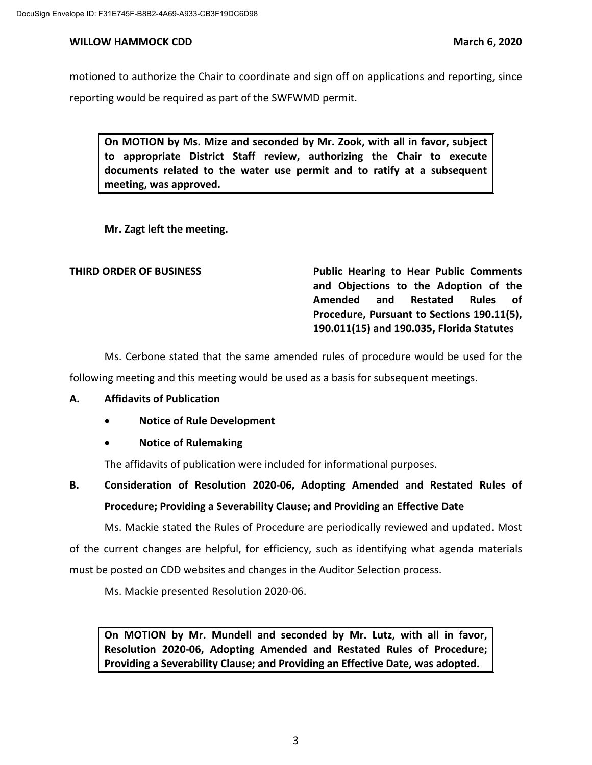motioned to authorize the Chair to coordinate and sign off on applications and reporting, since reporting would be required as part of the SWFWMD permit.

**On MOTION by Ms. Mize and seconded by Mr. Zook, with all in favor, subject to appropriate District Staff review, authorizing the Chair to execute documents related to the water use permit and to ratify at a subsequent meeting, was approved.**

**Mr. Zagt left the meeting.**

**THIRD ORDER OF BUSINESS Public Hearing to Hear Public Comments and Objections to the Adoption of the Amended and Restated Rules of Procedure, Pursuant to Sections 190.11(5), 190.011(15) and 190.035, Florida Statutes**

Ms. Cerbone stated that the same amended rules of procedure would be used for the

following meeting and this meeting would be used as a basis for subsequent meetings.

# **A. Affidavits of Publication**

- **Notice of Rule Development**
- **Notice of Rulemaking**

The affidavits of publication were included for informational purposes.

# **B. Consideration of Resolution 2020-06, Adopting Amended and Restated Rules of Procedure; Providing a Severability Clause; and Providing an Effective Date**

Ms. Mackie stated the Rules of Procedure are periodically reviewed and updated. Most of the current changes are helpful, for efficiency, such as identifying what agenda materials must be posted on CDD websites and changes in the Auditor Selection process.

Ms. Mackie presented Resolution 2020-06.

**On MOTION by Mr. Mundell and seconded by Mr. Lutz, with all in favor, Resolution 2020-06, Adopting Amended and Restated Rules of Procedure; Providing a Severability Clause; and Providing an Effective Date, was adopted.**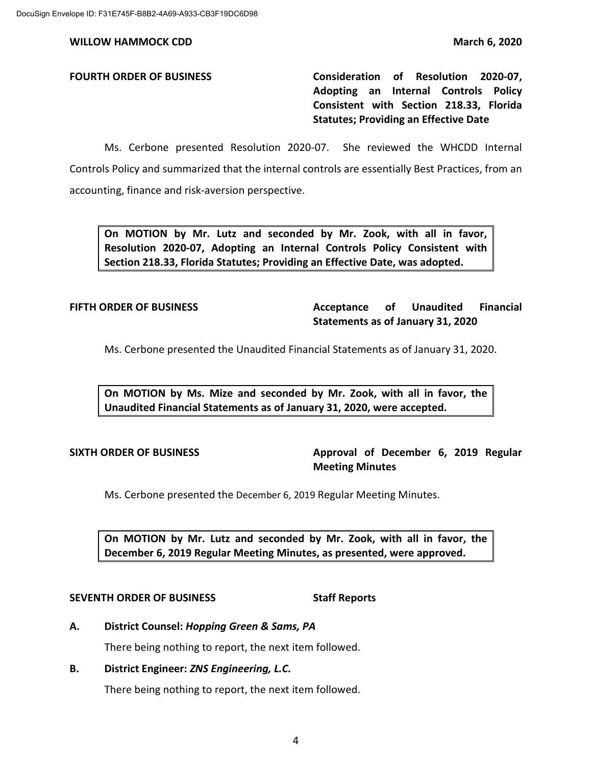**FOURTH ORDER OF BUSINESS Consideration of Resolution 2020-07, Adopting an Internal Controls Policy Consistent with Section 218.33, Florida Statutes; Providing an Effective Date**

Ms. Cerbone presented Resolution 2020-07. She reviewed the WHCDD Internal Controls Policy and summarized that the internal controls are essentially Best Practices, from an accounting, finance and risk-aversion perspective.

**On MOTION by Mr. Lutz and seconded by Mr. Zook, with all in favor, Resolution 2020-07, Adopting an Internal Controls Policy Consistent with Section 218.33, Florida Statutes; Providing an Effective Date, was adopted.**

# **FIFTH ORDER OF BUSINESS Acceptance of Unaudited Financial Statements as of January 31, 2020**

Ms. Cerbone presented the Unaudited Financial Statements as of January 31, 2020.

**On MOTION by Ms. Mize and seconded by Mr. Zook, with all in favor, the Unaudited Financial Statements as of January 31, 2020, were accepted.** 

**SIXTH ORDER OF BUSINESS Approval of December 6, 2019 Regular Meeting Minutes**

Ms. Cerbone presented the December 6, 2019 Regular Meeting Minutes.

**On MOTION by Mr. Lutz and seconded by Mr. Zook, with all in favor, the December 6, 2019 Regular Meeting Minutes, as presented, were approved.**

### **SEVENTH ORDER OF BUSINESS Staff Reports**

**A. District Counsel:** *Hopping Green & Sams, PA*

There being nothing to report, the next item followed.

# **B. District Engineer:** *ZNS Engineering, L.C.*

There being nothing to report, the next item followed.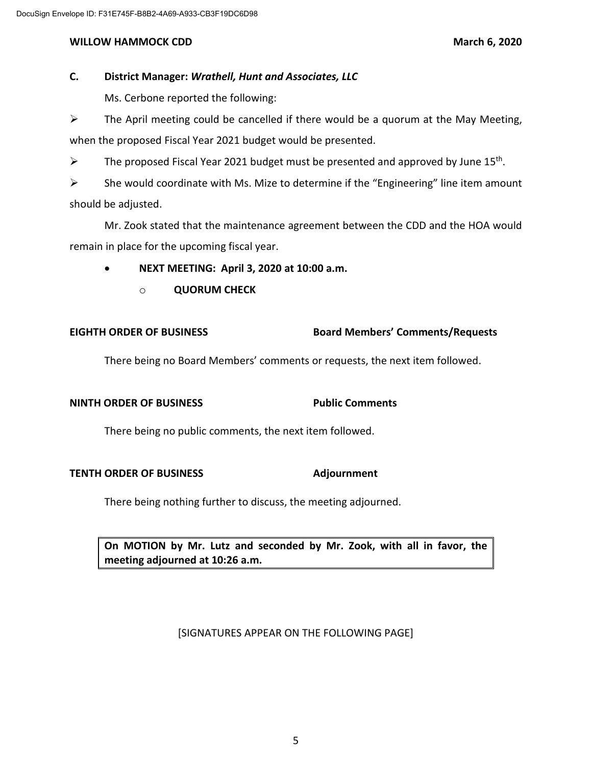# **C. District Manager:** *Wrathell, Hunt and Associates, LLC*

Ms. Cerbone reported the following:

 $\triangleright$  The April meeting could be cancelled if there would be a quorum at the May Meeting, when the proposed Fiscal Year 2021 budget would be presented.

 $\triangleright$  The proposed Fiscal Year 2021 budget must be presented and approved by June 15<sup>th</sup>.

 $\triangleright$  She would coordinate with Ms. Mize to determine if the "Engineering" line item amount should be adjusted.

Mr. Zook stated that the maintenance agreement between the CDD and the HOA would remain in place for the upcoming fiscal year.

- **NEXT MEETING: April 3, 2020 at 10:00 a.m.**
	- o **QUORUM CHECK**

### **EIGHTH ORDER OF BUSINESS Board Members' Comments/Requests**

There being no Board Members' comments or requests, the next item followed.

# **NINTH ORDER OF BUSINESS Public Comments**

There being no public comments, the next item followed.

### **TENTH ORDER OF BUSINESS Adjournment**

There being nothing further to discuss, the meeting adjourned.

**On MOTION by Mr. Lutz and seconded by Mr. Zook, with all in favor, the meeting adjourned at 10:26 a.m.**

[SIGNATURES APPEAR ON THE FOLLOWING PAGE]